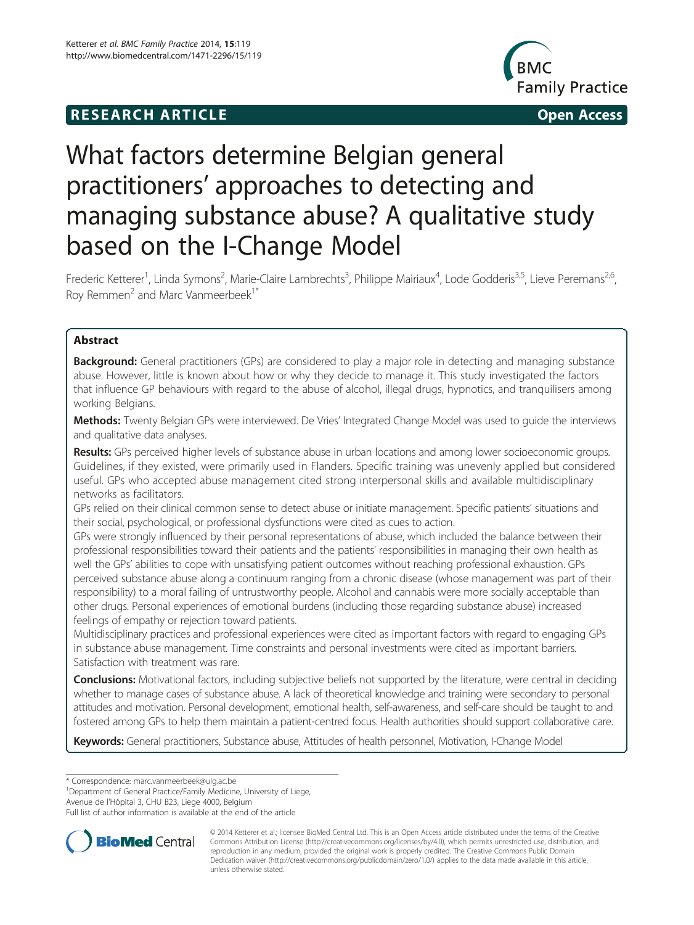# **RESEARCH ARTICLE CONSUMING A RESEARCH ARTICLE**



# What factors determine Belgian general practitioners' approaches to detecting and managing substance abuse? A qualitative study based on the I-Change Model

Frederic Ketterer<sup>1</sup>, Linda Symons<sup>2</sup>, Marie-Claire Lambrechts<sup>3</sup>, Philippe Mairiaux<sup>4</sup>, Lode Godderis<sup>3,5</sup>, Lieve Peremans<sup>2,6</sup>, Roy Remmen<sup>2</sup> and Marc Vanmeerbeek<sup>1\*</sup>

# Abstract

**Background:** General practitioners (GPs) are considered to play a major role in detecting and managing substance abuse. However, little is known about how or why they decide to manage it. This study investigated the factors that influence GP behaviours with regard to the abuse of alcohol, illegal drugs, hypnotics, and tranquilisers among working Belgians.

Methods: Twenty Belgian GPs were interviewed. De Vries' Integrated Change Model was used to guide the interviews and qualitative data analyses.

Results: GPs perceived higher levels of substance abuse in urban locations and among lower socioeconomic groups. Guidelines, if they existed, were primarily used in Flanders. Specific training was unevenly applied but considered useful. GPs who accepted abuse management cited strong interpersonal skills and available multidisciplinary networks as facilitators.

GPs relied on their clinical common sense to detect abuse or initiate management. Specific patients' situations and their social, psychological, or professional dysfunctions were cited as cues to action.

GPs were strongly influenced by their personal representations of abuse, which included the balance between their professional responsibilities toward their patients and the patients' responsibilities in managing their own health as well the GPs' abilities to cope with unsatisfying patient outcomes without reaching professional exhaustion. GPs perceived substance abuse along a continuum ranging from a chronic disease (whose management was part of their responsibility) to a moral failing of untrustworthy people. Alcohol and cannabis were more socially acceptable than other drugs. Personal experiences of emotional burdens (including those regarding substance abuse) increased feelings of empathy or rejection toward patients.

Multidisciplinary practices and professional experiences were cited as important factors with regard to engaging GPs in substance abuse management. Time constraints and personal investments were cited as important barriers. Satisfaction with treatment was rare.

**Conclusions:** Motivational factors, including subjective beliefs not supported by the literature, were central in deciding whether to manage cases of substance abuse. A lack of theoretical knowledge and training were secondary to personal attitudes and motivation. Personal development, emotional health, self-awareness, and self-care should be taught to and fostered among GPs to help them maintain a patient-centred focus. Health authorities should support collaborative care.

Keywords: General practitioners, Substance abuse, Attitudes of health personnel, Motivation, I-Change Model

<sup>1</sup>Department of General Practice/Family Medicine, University of Liege,

Avenue de l'Hôpital 3, CHU B23, Liege 4000, Belgium

Full list of author information is available at the end of the article



© 2014 Ketterer et al.; licensee BioMed Central Ltd. This is an Open Access article distributed under the terms of the Creative Commons Attribution License [\(http://creativecommons.org/licenses/by/4.0\)](http://creativecommons.org/licenses/by/4.0), which permits unrestricted use, distribution, and reproduction in any medium, provided the original work is properly credited. The Creative Commons Public Domain Dedication waiver [\(http://creativecommons.org/publicdomain/zero/1.0/](http://creativecommons.org/publicdomain/zero/1.0/)) applies to the data made available in this article, unless otherwise stated.

<sup>\*</sup> Correspondence: [marc.vanmeerbeek@ulg.ac.be](mailto:marc.vanmeerbeek@ulg.ac.be) <sup>1</sup>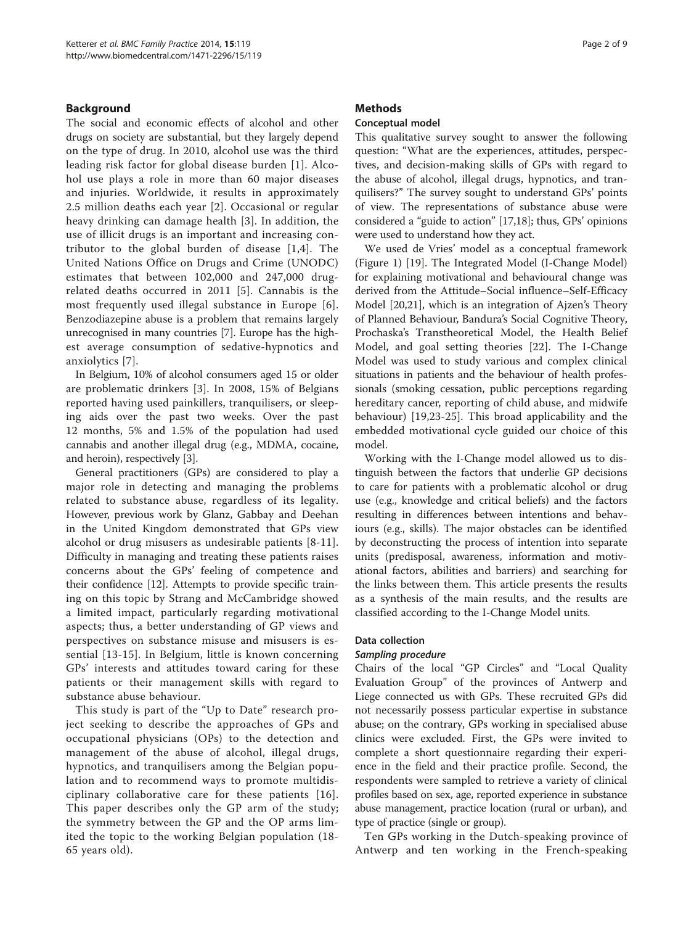# Background

The social and economic effects of alcohol and other drugs on society are substantial, but they largely depend on the type of drug. In 2010, alcohol use was the third leading risk factor for global disease burden [[1](#page-7-0)]. Alcohol use plays a role in more than 60 major diseases and injuries. Worldwide, it results in approximately 2.5 million deaths each year [[2](#page-8-0)]. Occasional or regular heavy drinking can damage health [[3](#page-8-0)]. In addition, the use of illicit drugs is an important and increasing contributor to the global burden of disease [[1](#page-7-0)[,4\]](#page-8-0). The United Nations Office on Drugs and Crime (UNODC) estimates that between 102,000 and 247,000 drugrelated deaths occurred in 2011 [\[5\]](#page-8-0). Cannabis is the most frequently used illegal substance in Europe [[6](#page-8-0)]. Benzodiazepine abuse is a problem that remains largely unrecognised in many countries [\[7](#page-8-0)]. Europe has the highest average consumption of sedative-hypnotics and anxiolytics [\[7](#page-8-0)].

In Belgium, 10% of alcohol consumers aged 15 or older are problematic drinkers [\[3](#page-8-0)]. In 2008, 15% of Belgians reported having used painkillers, tranquilisers, or sleeping aids over the past two weeks. Over the past 12 months, 5% and 1.5% of the population had used cannabis and another illegal drug (e.g., MDMA, cocaine, and heroin), respectively [\[3\]](#page-8-0).

General practitioners (GPs) are considered to play a major role in detecting and managing the problems related to substance abuse, regardless of its legality. However, previous work by Glanz, Gabbay and Deehan in the United Kingdom demonstrated that GPs view alcohol or drug misusers as undesirable patients [\[8-11](#page-8-0)]. Difficulty in managing and treating these patients raises concerns about the GPs' feeling of competence and their confidence [\[12\]](#page-8-0). Attempts to provide specific training on this topic by Strang and McCambridge showed a limited impact, particularly regarding motivational aspects; thus, a better understanding of GP views and perspectives on substance misuse and misusers is essential [[13](#page-8-0)-[15](#page-8-0)]. In Belgium, little is known concerning GPs' interests and attitudes toward caring for these patients or their management skills with regard to substance abuse behaviour.

This study is part of the "Up to Date" research project seeking to describe the approaches of GPs and occupational physicians (OPs) to the detection and management of the abuse of alcohol, illegal drugs, hypnotics, and tranquilisers among the Belgian population and to recommend ways to promote multidisciplinary collaborative care for these patients [[16](#page-8-0)]. This paper describes only the GP arm of the study; the symmetry between the GP and the OP arms limited the topic to the working Belgian population (18- 65 years old).

# **Methods**

#### Conceptual model

This qualitative survey sought to answer the following question: "What are the experiences, attitudes, perspectives, and decision-making skills of GPs with regard to the abuse of alcohol, illegal drugs, hypnotics, and tranquilisers?" The survey sought to understand GPs' points of view. The representations of substance abuse were considered a "guide to action" [\[17,18\]](#page-8-0); thus, GPs' opinions were used to understand how they act.

We used de Vries' model as a conceptual framework (Figure [1\)](#page-2-0) [[19](#page-8-0)]. The Integrated Model (I-Change Model) for explaining motivational and behavioural change was derived from the Attitude–Social influence–Self-Efficacy Model [[20](#page-8-0),[21](#page-8-0)], which is an integration of Ajzen's Theory of Planned Behaviour, Bandura's Social Cognitive Theory, Prochaska's Transtheoretical Model, the Health Belief Model, and goal setting theories [\[22](#page-8-0)]. The I-Change Model was used to study various and complex clinical situations in patients and the behaviour of health professionals (smoking cessation, public perceptions regarding hereditary cancer, reporting of child abuse, and midwife behaviour) [\[19](#page-8-0),[23-25](#page-8-0)]. This broad applicability and the embedded motivational cycle guided our choice of this model.

Working with the I-Change model allowed us to distinguish between the factors that underlie GP decisions to care for patients with a problematic alcohol or drug use (e.g., knowledge and critical beliefs) and the factors resulting in differences between intentions and behaviours (e.g., skills). The major obstacles can be identified by deconstructing the process of intention into separate units (predisposal, awareness, information and motivational factors, abilities and barriers) and searching for the links between them. This article presents the results as a synthesis of the main results, and the results are classified according to the I-Change Model units.

#### Data collection

## Sampling procedure

Chairs of the local "GP Circles" and "Local Quality Evaluation Group" of the provinces of Antwerp and Liege connected us with GPs. These recruited GPs did not necessarily possess particular expertise in substance abuse; on the contrary, GPs working in specialised abuse clinics were excluded. First, the GPs were invited to complete a short questionnaire regarding their experience in the field and their practice profile. Second, the respondents were sampled to retrieve a variety of clinical profiles based on sex, age, reported experience in substance abuse management, practice location (rural or urban), and type of practice (single or group).

Ten GPs working in the Dutch-speaking province of Antwerp and ten working in the French-speaking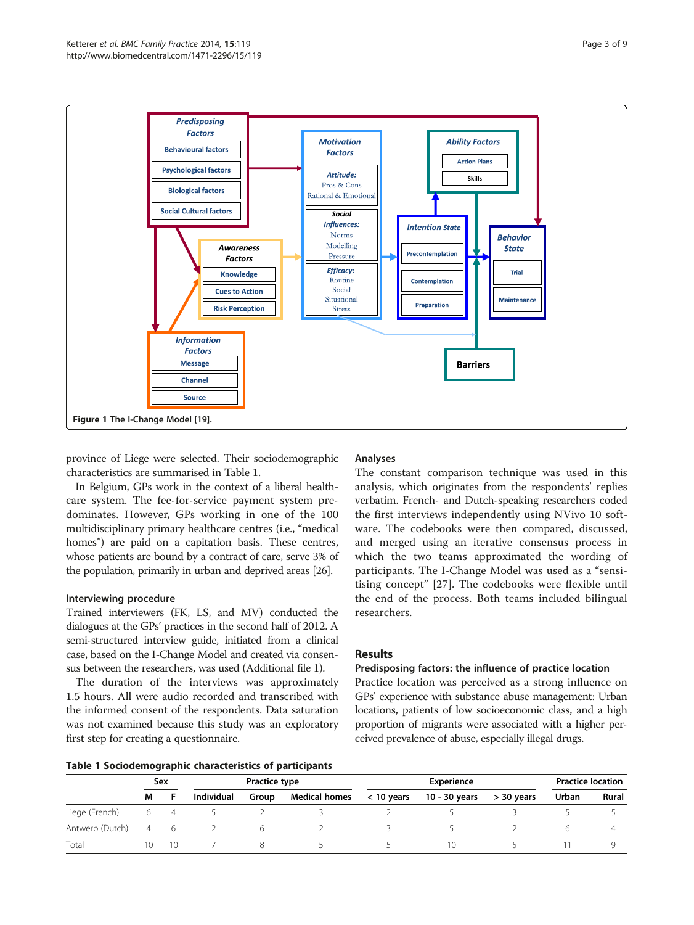<span id="page-2-0"></span>

province of Liege were selected. Their sociodemographic characteristics are summarised in Table 1.

In Belgium, GPs work in the context of a liberal healthcare system. The fee-for-service payment system predominates. However, GPs working in one of the 100 multidisciplinary primary healthcare centres (i.e., "medical homes") are paid on a capitation basis. These centres, whose patients are bound by a contract of care, serve 3% of the population, primarily in urban and deprived areas [\[26\]](#page-8-0).

#### Interviewing procedure

Trained interviewers (FK, LS, and MV) conducted the dialogues at the GPs' practices in the second half of 2012. A semi-structured interview guide, initiated from a clinical case, based on the I-Change Model and created via consensus between the researchers, was used (Additional file [1\)](#page-7-0).

The duration of the interviews was approximately 1.5 hours. All were audio recorded and transcribed with the informed consent of the respondents. Data saturation was not examined because this study was an exploratory first step for creating a questionnaire.

#### Analyses

The constant comparison technique was used in this analysis, which originates from the respondents' replies verbatim. French- and Dutch-speaking researchers coded the first interviews independently using NVivo 10 software. The codebooks were then compared, discussed, and merged using an iterative consensus process in which the two teams approximated the wording of participants. The I-Change Model was used as a "sensitising concept" [[27\]](#page-8-0). The codebooks were flexible until the end of the process. Both teams included bilingual researchers.

# Results

#### Predisposing factors: the influence of practice location

Practice location was perceived as a strong influence on GPs' experience with substance abuse management: Urban locations, patients of low socioeconomic class, and a high proportion of migrants were associated with a higher perceived prevalence of abuse, especially illegal drugs.

Table 1 Sociodemographic characteristics of participants

| _____           |                |                                                 |               |       |                      |              |               |              |                          |       |
|-----------------|----------------|-------------------------------------------------|---------------|-------|----------------------|--------------|---------------|--------------|--------------------------|-------|
|                 | Sex            |                                                 | Practice type |       |                      | Experience   |               |              | <b>Practice location</b> |       |
|                 | М              |                                                 | Individual    | Group | <b>Medical homes</b> | $<$ 10 years | 10 - 30 years | $>$ 30 years | Urban                    | Rural |
| Liege (French)  | O              | $\overline{4}$                                  |               |       |                      |              |               |              |                          |       |
| Antwerp (Dutch) | 4 <sup>1</sup> | - 6                                             |               |       |                      |              |               |              |                          |       |
| Total           |                | $\left( \begin{array}{c} 1 \end{array} \right)$ |               |       |                      |              | 10            |              |                          |       |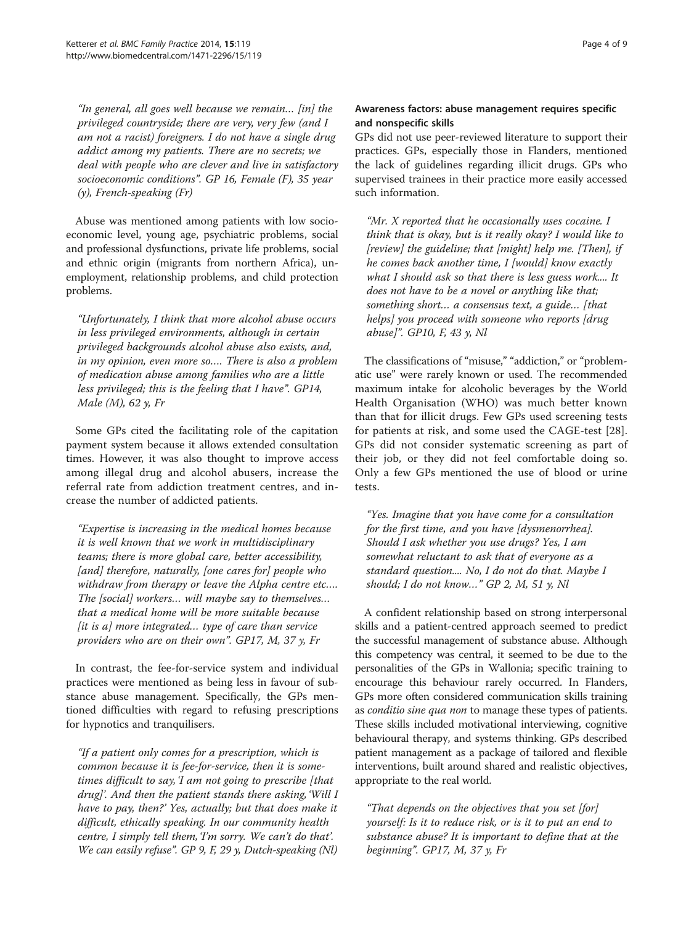"In general, all goes well because we remain… [in] the privileged countryside; there are very, very few (and I am not a racist) foreigners. I do not have a single drug addict among my patients. There are no secrets; we deal with people who are clever and live in satisfactory socioeconomic conditions". GP 16, Female (F), 35 year (y), French-speaking (Fr)

Abuse was mentioned among patients with low socioeconomic level, young age, psychiatric problems, social and professional dysfunctions, private life problems, social and ethnic origin (migrants from northern Africa), unemployment, relationship problems, and child protection problems.

"Unfortunately, I think that more alcohol abuse occurs in less privileged environments, although in certain privileged backgrounds alcohol abuse also exists, and, in my opinion, even more so…. There is also a problem of medication abuse among families who are a little less privileged; this is the feeling that I have". GP14, Male (M), 62 y, Fr

Some GPs cited the facilitating role of the capitation payment system because it allows extended consultation times. However, it was also thought to improve access among illegal drug and alcohol abusers, increase the referral rate from addiction treatment centres, and increase the number of addicted patients.

"Expertise is increasing in the medical homes because it is well known that we work in multidisciplinary teams; there is more global care, better accessibility, [and] therefore, naturally, [one cares for] people who withdraw from therapy or leave the Alpha centre etc.... The [social] workers… will maybe say to themselves… that a medical home will be more suitable because  $[$ it is a $]$  more integrated... type of care than service providers who are on their own". GP17, M, 37 y, Fr

In contrast, the fee-for-service system and individual practices were mentioned as being less in favour of substance abuse management. Specifically, the GPs mentioned difficulties with regard to refusing prescriptions for hypnotics and tranquilisers.

"If a patient only comes for a prescription, which is common because it is fee-for-service, then it is sometimes difficult to say, 'I am not going to prescribe [that drug]'. And then the patient stands there asking, 'Will I have to pay, then?' Yes, actually; but that does make it difficult, ethically speaking. In our community health centre, I simply tell them, 'I'm sorry. We can't do that'. We can easily refuse". GP 9, F, 29 y, Dutch-speaking (Nl)

# Awareness factors: abuse management requires specific and nonspecific skills

GPs did not use peer-reviewed literature to support their practices. GPs, especially those in Flanders, mentioned the lack of guidelines regarding illicit drugs. GPs who supervised trainees in their practice more easily accessed such information.

"Mr. X reported that he occasionally uses cocaine. I think that is okay, but is it really okay? I would like to [review] the guideline; that [might] help me. [Then], if he comes back another time, I [would] know exactly what I should ask so that there is less guess work.... It does not have to be a novel or anything like that; something short... a consensus text, a guide... [that helps] you proceed with someone who reports [drug abuse]". GP10, F, 43 y, Nl

The classifications of "misuse," "addiction," or "problematic use" were rarely known or used. The recommended maximum intake for alcoholic beverages by the World Health Organisation (WHO) was much better known than that for illicit drugs. Few GPs used screening tests for patients at risk, and some used the CAGE-test [\[28](#page-8-0)]. GPs did not consider systematic screening as part of their job, or they did not feel comfortable doing so. Only a few GPs mentioned the use of blood or urine tests.

"Yes. Imagine that you have come for a consultation for the first time, and you have [dysmenorrhea]. Should I ask whether you use drugs? Yes, I am somewhat reluctant to ask that of everyone as a standard question.... No, I do not do that. Maybe I should; I do not know…" GP 2, M, 51 y, Nl

A confident relationship based on strong interpersonal skills and a patient-centred approach seemed to predict the successful management of substance abuse. Although this competency was central, it seemed to be due to the personalities of the GPs in Wallonia; specific training to encourage this behaviour rarely occurred. In Flanders, GPs more often considered communication skills training as *conditio sine qua non* to manage these types of patients. These skills included motivational interviewing, cognitive behavioural therapy, and systems thinking. GPs described patient management as a package of tailored and flexible interventions, built around shared and realistic objectives, appropriate to the real world.

"That depends on the objectives that you set [for] yourself: Is it to reduce risk, or is it to put an end to substance abuse? It is important to define that at the beginning". GP17, M, 37 y, Fr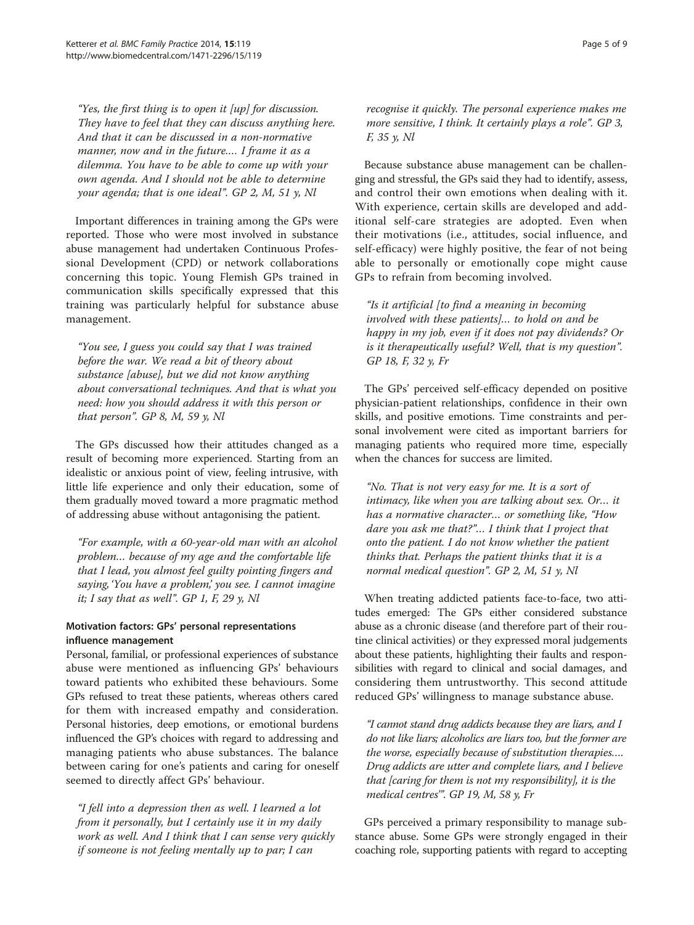"Yes, the first thing is to open it [up] for discussion. They have to feel that they can discuss anything here. And that it can be discussed in a non-normative manner, now and in the future.… I frame it as a dilemma. You have to be able to come up with your own agenda. And I should not be able to determine your agenda; that is one ideal". GP 2, M, 51 y, Nl

Important differences in training among the GPs were reported. Those who were most involved in substance abuse management had undertaken Continuous Professional Development (CPD) or network collaborations concerning this topic. Young Flemish GPs trained in communication skills specifically expressed that this training was particularly helpful for substance abuse management.

"You see, I guess you could say that I was trained before the war. We read a bit of theory about substance [abuse], but we did not know anything about conversational techniques. And that is what you need: how you should address it with this person or that person". GP 8, M, 59  $\gamma$ , Nl

The GPs discussed how their attitudes changed as a result of becoming more experienced. Starting from an idealistic or anxious point of view, feeling intrusive, with little life experience and only their education, some of them gradually moved toward a more pragmatic method of addressing abuse without antagonising the patient.

"For example, with a 60-year-old man with an alcohol problem… because of my age and the comfortable life that I lead, you almost feel guilty pointing fingers and saying, 'You have a problem,' you see. I cannot imagine it; I say that as well". GP 1, F, 29  $\gamma$ , Nl

# Motivation factors: GPs' personal representations influence management

Personal, familial, or professional experiences of substance abuse were mentioned as influencing GPs' behaviours toward patients who exhibited these behaviours. Some GPs refused to treat these patients, whereas others cared for them with increased empathy and consideration. Personal histories, deep emotions, or emotional burdens influenced the GP's choices with regard to addressing and managing patients who abuse substances. The balance between caring for one's patients and caring for oneself seemed to directly affect GPs' behaviour.

"I fell into a depression then as well. I learned a lot from it personally, but I certainly use it in my daily work as well. And I think that I can sense very quickly if someone is not feeling mentally up to par; I can

recognise it quickly. The personal experience makes me more sensitive, I think. It certainly plays a role". GP 3, F, 35 y, Nl

Because substance abuse management can be challenging and stressful, the GPs said they had to identify, assess, and control their own emotions when dealing with it. With experience, certain skills are developed and additional self-care strategies are adopted. Even when their motivations (i.e., attitudes, social influence, and self-efficacy) were highly positive, the fear of not being able to personally or emotionally cope might cause GPs to refrain from becoming involved.

"Is it artificial [to find a meaning in becoming involved with these patients]… to hold on and be happy in my job, even if it does not pay dividends? Or is it therapeutically useful? Well, that is my question". GP 18, F, 32 y, Fr

The GPs' perceived self-efficacy depended on positive physician-patient relationships, confidence in their own skills, and positive emotions. Time constraints and personal involvement were cited as important barriers for managing patients who required more time, especially when the chances for success are limited.

"No. That is not very easy for me. It is a sort of intimacy, like when you are talking about sex. Or… it has a normative character… or something like, "How dare you ask me that?"… I think that I project that onto the patient. I do not know whether the patient thinks that. Perhaps the patient thinks that it is a normal medical question". GP 2, M, 51 y, Nl

When treating addicted patients face-to-face, two attitudes emerged: The GPs either considered substance abuse as a chronic disease (and therefore part of their routine clinical activities) or they expressed moral judgements about these patients, highlighting their faults and responsibilities with regard to clinical and social damages, and considering them untrustworthy. This second attitude reduced GPs' willingness to manage substance abuse.

"I cannot stand drug addicts because they are liars, and I do not like liars; alcoholics are liars too, but the former are the worse, especially because of substitution therapies…. Drug addicts are utter and complete liars, and I believe that [caring for them is not my responsibility], it is the medical centres'". GP 19, M, 58 y, Fr

GPs perceived a primary responsibility to manage substance abuse. Some GPs were strongly engaged in their coaching role, supporting patients with regard to accepting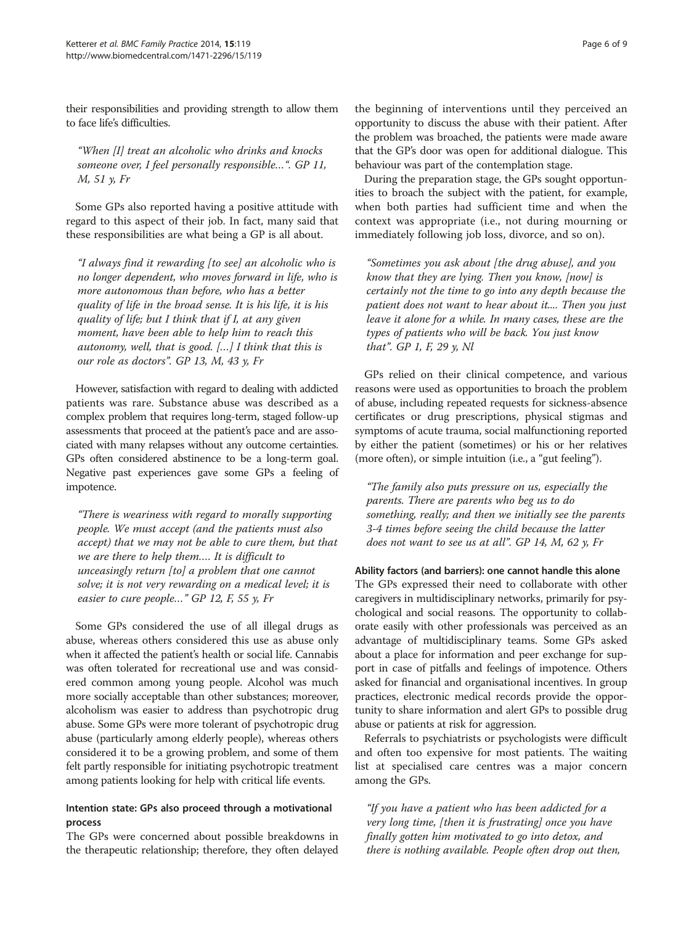their responsibilities and providing strength to allow them to face life's difficulties.

"When [I] treat an alcoholic who drinks and knocks someone over, I feel personally responsible…". GP 11, M, 51 y, Fr

Some GPs also reported having a positive attitude with regard to this aspect of their job. In fact, many said that these responsibilities are what being a GP is all about.

"I always find it rewarding [to see] an alcoholic who is no longer dependent, who moves forward in life, who is more autonomous than before, who has a better quality of life in the broad sense. It is his life, it is his quality of life; but I think that if I, at any given moment, have been able to help him to reach this autonomy, well, that is good.  $[...]$  I think that this is our role as doctors". GP 13, M, 43 y, Fr

However, satisfaction with regard to dealing with addicted patients was rare. Substance abuse was described as a complex problem that requires long-term, staged follow-up assessments that proceed at the patient's pace and are associated with many relapses without any outcome certainties. GPs often considered abstinence to be a long-term goal. Negative past experiences gave some GPs a feeling of impotence.

"There is weariness with regard to morally supporting people. We must accept (and the patients must also accept) that we may not be able to cure them, but that we are there to help them…. It is difficult to unceasingly return [to] a problem that one cannot solve; it is not very rewarding on a medical level; it is easier to cure people..." GP 12,  $F$ ,  $55$   $y$ ,  $Fr$ 

Some GPs considered the use of all illegal drugs as abuse, whereas others considered this use as abuse only when it affected the patient's health or social life. Cannabis was often tolerated for recreational use and was considered common among young people. Alcohol was much more socially acceptable than other substances; moreover, alcoholism was easier to address than psychotropic drug abuse. Some GPs were more tolerant of psychotropic drug abuse (particularly among elderly people), whereas others considered it to be a growing problem, and some of them felt partly responsible for initiating psychotropic treatment among patients looking for help with critical life events.

## Intention state: GPs also proceed through a motivational process

The GPs were concerned about possible breakdowns in the therapeutic relationship; therefore, they often delayed

the beginning of interventions until they perceived an opportunity to discuss the abuse with their patient. After the problem was broached, the patients were made aware that the GP's door was open for additional dialogue. This behaviour was part of the contemplation stage.

During the preparation stage, the GPs sought opportunities to broach the subject with the patient, for example, when both parties had sufficient time and when the context was appropriate (i.e., not during mourning or immediately following job loss, divorce, and so on).

"Sometimes you ask about [the drug abuse], and you know that they are lying. Then you know, [now] is certainly not the time to go into any depth because the patient does not want to hear about it.... Then you just leave it alone for a while. In many cases, these are the types of patients who will be back. You just know that". GP 1,  $F$ , 29  $\gamma$ , Nl

GPs relied on their clinical competence, and various reasons were used as opportunities to broach the problem of abuse, including repeated requests for sickness-absence certificates or drug prescriptions, physical stigmas and symptoms of acute trauma, social malfunctioning reported by either the patient (sometimes) or his or her relatives (more often), or simple intuition (i.e., a "gut feeling").

"The family also puts pressure on us, especially the parents. There are parents who beg us to do something, really; and then we initially see the parents 3-4 times before seeing the child because the latter does not want to see us at all". GP 14,  $M$ , 62  $\gamma$ , Fr

Ability factors (and barriers): one cannot handle this alone

The GPs expressed their need to collaborate with other caregivers in multidisciplinary networks, primarily for psychological and social reasons. The opportunity to collaborate easily with other professionals was perceived as an advantage of multidisciplinary teams. Some GPs asked about a place for information and peer exchange for support in case of pitfalls and feelings of impotence. Others asked for financial and organisational incentives. In group practices, electronic medical records provide the opportunity to share information and alert GPs to possible drug abuse or patients at risk for aggression.

Referrals to psychiatrists or psychologists were difficult and often too expensive for most patients. The waiting list at specialised care centres was a major concern among the GPs.

"If you have a patient who has been addicted for a very long time, [then it is frustrating] once you have finally gotten him motivated to go into detox, and there is nothing available. People often drop out then,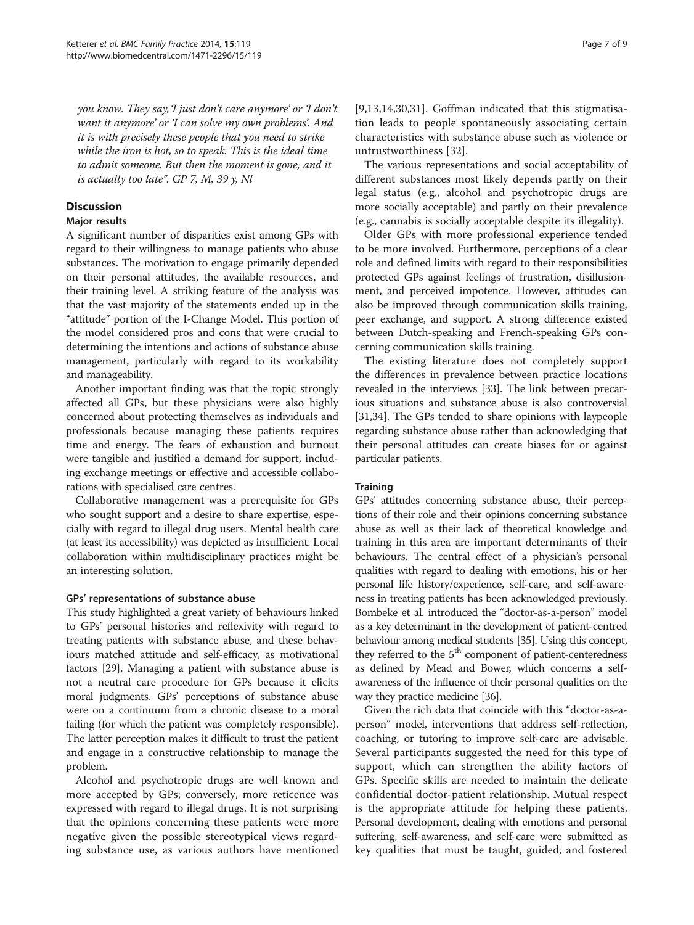you know. They say,'I just don't care anymore' or 'I don't want it anymore' or 'I can solve my own problems'. And it is with precisely these people that you need to strike while the iron is hot, so to speak. This is the ideal time to admit someone. But then the moment is gone, and it is actually too late". GP 7, M, 39  $\gamma$ , Nl

# **Discussion**

#### Major results

A significant number of disparities exist among GPs with regard to their willingness to manage patients who abuse substances. The motivation to engage primarily depended on their personal attitudes, the available resources, and their training level. A striking feature of the analysis was that the vast majority of the statements ended up in the "attitude" portion of the I-Change Model. This portion of the model considered pros and cons that were crucial to determining the intentions and actions of substance abuse management, particularly with regard to its workability and manageability.

Another important finding was that the topic strongly affected all GPs, but these physicians were also highly concerned about protecting themselves as individuals and professionals because managing these patients requires time and energy. The fears of exhaustion and burnout were tangible and justified a demand for support, including exchange meetings or effective and accessible collaborations with specialised care centres.

Collaborative management was a prerequisite for GPs who sought support and a desire to share expertise, especially with regard to illegal drug users. Mental health care (at least its accessibility) was depicted as insufficient. Local collaboration within multidisciplinary practices might be an interesting solution.

## GPs' representations of substance abuse

This study highlighted a great variety of behaviours linked to GPs' personal histories and reflexivity with regard to treating patients with substance abuse, and these behaviours matched attitude and self-efficacy, as motivational factors [[29](#page-8-0)]. Managing a patient with substance abuse is not a neutral care procedure for GPs because it elicits moral judgments. GPs' perceptions of substance abuse were on a continuum from a chronic disease to a moral failing (for which the patient was completely responsible). The latter perception makes it difficult to trust the patient and engage in a constructive relationship to manage the problem.

Alcohol and psychotropic drugs are well known and more accepted by GPs; conversely, more reticence was expressed with regard to illegal drugs. It is not surprising that the opinions concerning these patients were more negative given the possible stereotypical views regarding substance use, as various authors have mentioned

[[9,13,14](#page-8-0),[30,31\]](#page-8-0). Goffman indicated that this stigmatisation leads to people spontaneously associating certain characteristics with substance abuse such as violence or untrustworthiness [\[32](#page-8-0)].

The various representations and social acceptability of different substances most likely depends partly on their legal status (e.g., alcohol and psychotropic drugs are more socially acceptable) and partly on their prevalence (e.g., cannabis is socially acceptable despite its illegality).

Older GPs with more professional experience tended to be more involved. Furthermore, perceptions of a clear role and defined limits with regard to their responsibilities protected GPs against feelings of frustration, disillusionment, and perceived impotence. However, attitudes can also be improved through communication skills training, peer exchange, and support. A strong difference existed between Dutch-speaking and French-speaking GPs concerning communication skills training.

The existing literature does not completely support the differences in prevalence between practice locations revealed in the interviews [\[33](#page-8-0)]. The link between precarious situations and substance abuse is also controversial [[31](#page-8-0),[34](#page-8-0)]. The GPs tended to share opinions with laypeople regarding substance abuse rather than acknowledging that their personal attitudes can create biases for or against particular patients.

## **Training**

GPs' attitudes concerning substance abuse, their perceptions of their role and their opinions concerning substance abuse as well as their lack of theoretical knowledge and training in this area are important determinants of their behaviours. The central effect of a physician's personal qualities with regard to dealing with emotions, his or her personal life history/experience, self-care, and self-awareness in treating patients has been acknowledged previously. Bombeke et al. introduced the "doctor-as-a-person" model as a key determinant in the development of patient-centred behaviour among medical students [[35](#page-8-0)]. Using this concept, they referred to the  $5<sup>th</sup>$  component of patient-centeredness as defined by Mead and Bower, which concerns a selfawareness of the influence of their personal qualities on the way they practice medicine [\[36\]](#page-8-0).

Given the rich data that coincide with this "doctor-as-aperson" model, interventions that address self-reflection, coaching, or tutoring to improve self-care are advisable. Several participants suggested the need for this type of support, which can strengthen the ability factors of GPs. Specific skills are needed to maintain the delicate confidential doctor-patient relationship. Mutual respect is the appropriate attitude for helping these patients. Personal development, dealing with emotions and personal suffering, self-awareness, and self-care were submitted as key qualities that must be taught, guided, and fostered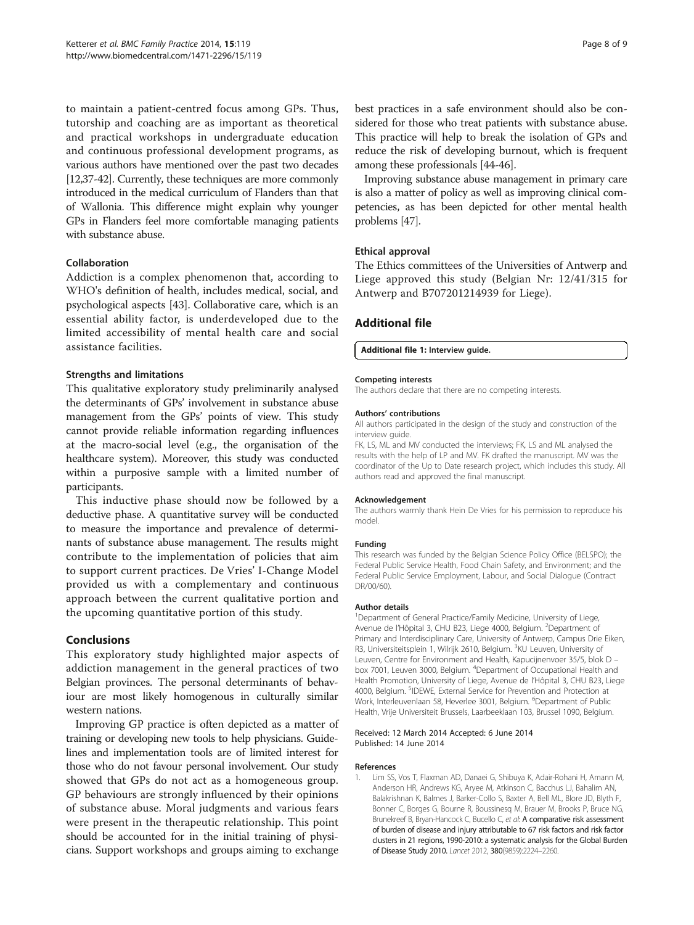<span id="page-7-0"></span>to maintain a patient-centred focus among GPs. Thus, tutorship and coaching are as important as theoretical and practical workshops in undergraduate education and continuous professional development programs, as various authors have mentioned over the past two decades [[12,37-42](#page-8-0)]. Currently, these techniques are more commonly introduced in the medical curriculum of Flanders than that of Wallonia. This difference might explain why younger GPs in Flanders feel more comfortable managing patients with substance abuse.

#### Collaboration

Addiction is a complex phenomenon that, according to WHO's definition of health, includes medical, social, and psychological aspects [\[43\]](#page-8-0). Collaborative care, which is an essential ability factor, is underdeveloped due to the limited accessibility of mental health care and social assistance facilities.

#### Strengths and limitations

This qualitative exploratory study preliminarily analysed the determinants of GPs' involvement in substance abuse management from the GPs' points of view. This study cannot provide reliable information regarding influences at the macro-social level (e.g., the organisation of the healthcare system). Moreover, this study was conducted within a purposive sample with a limited number of participants.

This inductive phase should now be followed by a deductive phase. A quantitative survey will be conducted to measure the importance and prevalence of determinants of substance abuse management. The results might contribute to the implementation of policies that aim to support current practices. De Vries' I-Change Model provided us with a complementary and continuous approach between the current qualitative portion and the upcoming quantitative portion of this study.

#### Conclusions

This exploratory study highlighted major aspects of addiction management in the general practices of two Belgian provinces. The personal determinants of behaviour are most likely homogenous in culturally similar western nations.

Improving GP practice is often depicted as a matter of training or developing new tools to help physicians. Guidelines and implementation tools are of limited interest for those who do not favour personal involvement. Our study showed that GPs do not act as a homogeneous group. GP behaviours are strongly influenced by their opinions of substance abuse. Moral judgments and various fears were present in the therapeutic relationship. This point should be accounted for in the initial training of physicians. Support workshops and groups aiming to exchange

best practices in a safe environment should also be considered for those who treat patients with substance abuse. This practice will help to break the isolation of GPs and reduce the risk of developing burnout, which is frequent among these professionals [\[44-46\]](#page-8-0).

Improving substance abuse management in primary care is also a matter of policy as well as improving clinical competencies, as has been depicted for other mental health problems [\[47](#page-8-0)].

#### Ethical approval

The Ethics committees of the Universities of Antwerp and Liege approved this study (Belgian Nr: 12/41/315 for Antwerp and B707201214939 for Liege).

## Additional file

#### [Additional file 1:](http://www.biomedcentral.com/content/supplementary/1471-2296-15-119-S1.docx) Interview guide.

#### Competing interests

The authors declare that there are no competing interests.

#### Authors' contributions

All authors participated in the design of the study and construction of the interview guide.

FK, LS, ML and MV conducted the interviews; FK, LS and ML analysed the results with the help of LP and MV. FK drafted the manuscript. MV was the coordinator of the Up to Date research project, which includes this study. All authors read and approved the final manuscript.

#### Acknowledgement

The authors warmly thank Hein De Vries for his permission to reproduce his model.

#### Funding

This research was funded by the Belgian Science Policy Office (BELSPO); the Federal Public Service Health, Food Chain Safety, and Environment; and the Federal Public Service Employment, Labour, and Social Dialogue (Contract DR/00/60)

#### Author details

<sup>1</sup>Department of General Practice/Family Medicine, University of Liege, Avenue de l'Hôpital 3, CHU B23, Liege 4000, Belgium. <sup>2</sup>Department of Primary and Interdisciplinary Care, University of Antwerp, Campus Drie Eiken, R3, Universiteitsplein 1, Wilrijk 2610, Belgium. <sup>3</sup>KU Leuven, University of Leuven, Centre for Environment and Health, Kapucijnenvoer 35/5, blok D – box 7001, Leuven 3000, Belgium. <sup>4</sup>Department of Occupational Health and Health Promotion, University of Liege, Avenue de l'Hôpital 3, CHU B23, Liege 4000, Belgium. <sup>5</sup>IDEWE, External Service for Prevention and Protection at Work, Interleuvenlaan 58, Heverlee 3001, Belgium. <sup>6</sup>Department of Public Health, Vrije Universiteit Brussels, Laarbeeklaan 103, Brussel 1090, Belgium.

#### Received: 12 March 2014 Accepted: 6 June 2014 Published: 14 June 2014

#### References

1. Lim SS, Vos T, Flaxman AD, Danaei G, Shibuya K, Adair-Rohani H, Amann M, Anderson HR, Andrews KG, Aryee M, Atkinson C, Bacchus LJ, Bahalim AN, Balakrishnan K, Balmes J, Barker-Collo S, Baxter A, Bell ML, Blore JD, Blyth F, Bonner C, Borges G, Bourne R, Boussinesq M, Brauer M, Brooks P, Bruce NG, Brunekreef B, Bryan-Hancock C, Bucello C, et al: A comparative risk assessment of burden of disease and injury attributable to 67 risk factors and risk factor clusters in 21 regions, 1990-2010: a systematic analysis for the Global Burden of Disease Study 2010. Lancet 2012, 380(9859):2224–2260.